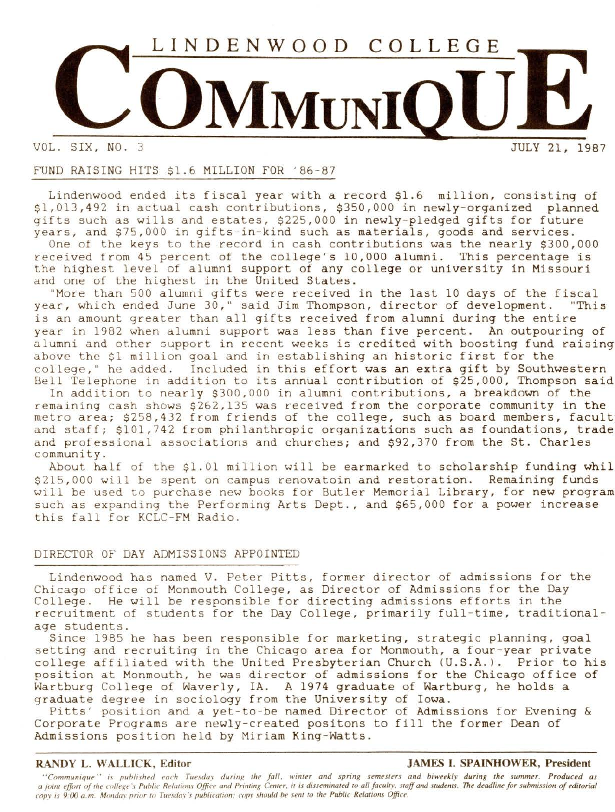

VOL. SIX, NO.

# FUND RAISING HITS \$1.6 MILLION FOR ' 86-87

Lindenwood ended its fiscal year with a record \$1.6 million, consisting of \$1,013,492 in actual cash contributions, \$350,000 in newly-organized planned gifts such as wills and estates, \$225,000 in newly-pledged gifts for future years, and \$75,000 in gifts-in-kind such as materials, goods and services.

One of the keys to the record in cash contributions was the nearly \$300,000 received from 45 percent of the college's 10,000 alumni. This percentage is the highest level of alumni support of any college or university in Missouri and one of the highest in the United States.

"More than 500 alumni gifts were received in the last 10 days of the fiscal year, which ended June 30," said Jim Thompson, director of development. "This is an amount greater than all gifts received from alumni during the entire year in 1982 when alumni support was less than five percent. An outpouring of alumni and other support in recent weeks is credited with boosting fund raising above the \$1 million goal and in establishing an historic first for the college," he added. Included in this effort was an extra gift by Southwestern Bell Telephone in addition to its annual contribution of \$25,000, Thompson said

In addition to nearly \$300,000 in alumni contributions, a breakdown of the remaining cash shows \$262,135 was received from the corporate community in the metro area; \$258,432 from friends of the college, such as board members, facult and staff; \$101,742 from philanthropic organizations such as foundations, trade and professional associations and churches; and \$92,370 from the St. Charles community.

About half of the \$1.01 million will be earmarked to scholarship funding **whil**  \$215,000 will be spent on campus renovatoin and restoration. Remaining funds will be used to purchase new books for Butler Memorial Library, for new program such as expanding the Performing Arts Dept., and \$65,000 for a power increase this fall for KCLC-FM Radio.

# DIRECTOR OF DAY ADMISSIONS APPOINTED

Lindenwood has named V. Peter Pitts, former director of admissions for the Chicago office of Monmouth College, as Director of Admissions for the Day College. He will be responsible for directing admissions efforts in the recruitment of students for the Day College, primarily full-time, traditionalage students.

Since 1985 he has been responsible for marketing, strategic planning, goal setting and recruiting in the Chicago area for Monmouth, a four-year private college affiliated with the United Presbyterian Church (U.S.A.). Prior to his position at Monmouth, he was director of admissions for the Chicago office of Wartburg College of Waverly, IA. A 1974 graduate of Wartburg, he holds a graduate degree in sociology from the University of Iowa.

Pitts' position and a yet-to-be named Director of Admissions for Evening & Corporate Programs are newly-created positons to fill the former Dean of Admissions position held by Miriam King-Watts.

# **RANDY L. WALLICK, Editor JAMES I. SPAINHOWER, President**

"Communique" is published each Tuesday during the fall, winter and spring semesters and biweekly during the summer. Produced as *a joint effort of the collexe 's Public Relations Office and Priminx Center, it is disseminated to all faculty, staff and students. The deadline for submission of editorial cop\_v is 9:00 a. m. Mondm· prior to Tuesda\' 's publication: cop\_1· should be sent* ro *the Public Relations Office.*